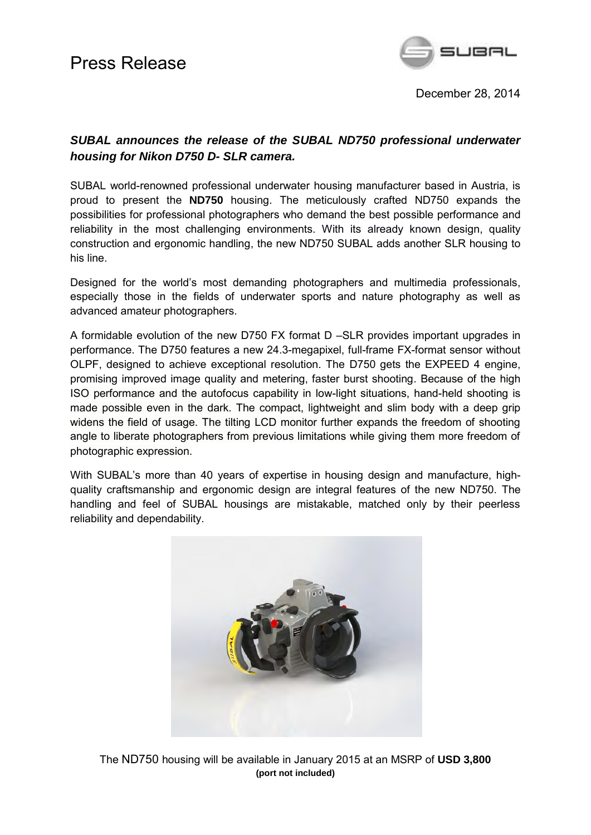

December 28, 2014

### *SUBAL announces the release of the SUBAL ND750 professional underwater housing for Nikon D750 D- SLR camera.*

SUBAL world-renowned professional underwater housing manufacturer based in Austria, is proud to present the **ND750** housing. The meticulously crafted ND750 expands the possibilities for professional photographers who demand the best possible performance and reliability in the most challenging environments. With its already known design, quality construction and ergonomic handling, the new ND750 SUBAL adds another SLR housing to his line.

Designed for the world's most demanding photographers and multimedia professionals, especially those in the fields of underwater sports and nature photography as well as advanced amateur photographers.

A formidable evolution of the new D750 FX format D –SLR provides important upgrades in performance. The D750 features a new 24.3-megapixel, full-frame FX-format sensor without OLPF, designed to achieve exceptional resolution. The D750 gets the EXPEED 4 engine, promising improved image quality and metering, faster burst shooting. Because of the high ISO performance and the autofocus capability in low-light situations, hand-held shooting is made possible even in the dark. The compact, lightweight and slim body with a deep grip widens the field of usage. The tilting LCD monitor further expands the freedom of shooting angle to liberate photographers from previous limitations while giving them more freedom of photographic expression.

With SUBAL's more than 40 years of expertise in housing design and manufacture, highquality craftsmanship and ergonomic design are integral features of the new ND750. The handling and feel of SUBAL housings are mistakable, matched only by their peerless reliability and dependability.



The ND750 housing will be available in January 2015 at an MSRP of **USD 3,800 (port not included)**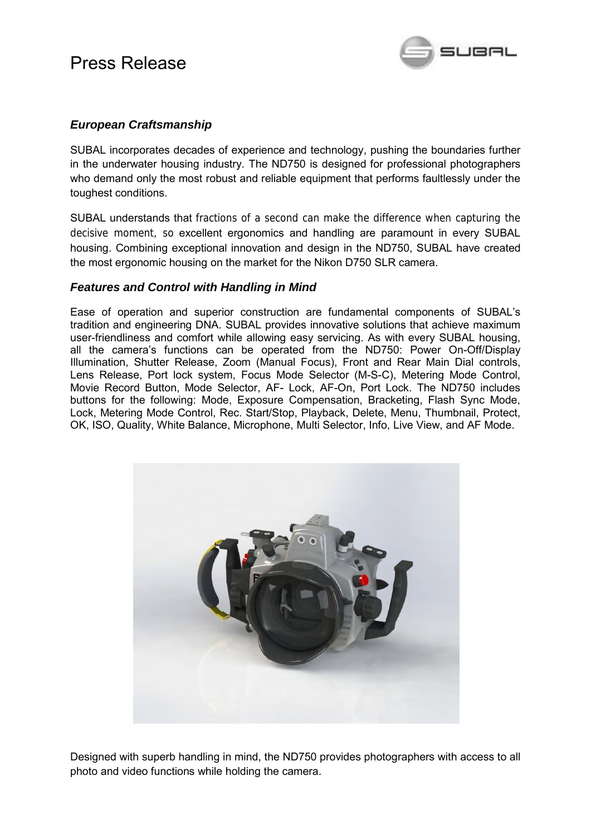

### *European Craftsmanship*

SUBAL incorporates decades of experience and technology, pushing the boundaries further in the underwater housing industry. The ND750 is designed for professional photographers who demand only the most robust and reliable equipment that performs faultlessly under the toughest conditions.

SUBAL understands that fractions of a second can make the difference when capturing the decisive moment, so excellent ergonomics and handling are paramount in every SUBAL housing. Combining exceptional innovation and design in the ND750, SUBAL have created the most ergonomic housing on the market for the Nikon D750 SLR camera.

### *Features and Control with Handling in Mind*

Ease of operation and superior construction are fundamental components of SUBAL's tradition and engineering DNA. SUBAL provides innovative solutions that achieve maximum user-friendliness and comfort while allowing easy servicing. As with every SUBAL housing, all the camera's functions can be operated from the ND750: Power On-Off/Display Illumination, Shutter Release, Zoom (Manual Focus), Front and Rear Main Dial controls, Lens Release, Port lock system, Focus Mode Selector (M-S-C), Metering Mode Control, Movie Record Button, Mode Selector, AF- Lock, AF-On, Port Lock. The ND750 includes buttons for the following: Mode, Exposure Compensation, Bracketing, Flash Sync Mode, Lock, Metering Mode Control, Rec. Start/Stop, Playback, Delete, Menu, Thumbnail, Protect, OK, ISO, Quality, White Balance, Microphone, Multi Selector, Info, Live View, and AF Mode.



Designed with superb handling in mind, the ND750 provides photographers with access to all photo and video functions while holding the camera.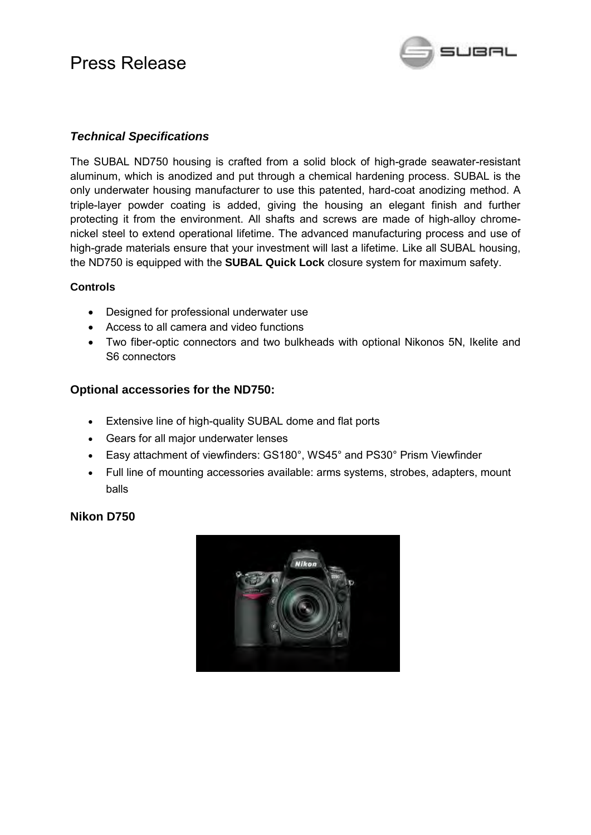

### *Technical Specifications*

The SUBAL ND750 housing is crafted from a solid block of high-grade seawater-resistant aluminum, which is anodized and put through a chemical hardening process. SUBAL is the only underwater housing manufacturer to use this patented, hard-coat anodizing method. A triple-layer powder coating is added, giving the housing an elegant finish and further protecting it from the environment. All shafts and screws are made of high-alloy chromenickel steel to extend operational lifetime. The advanced manufacturing process and use of high-grade materials ensure that your investment will last a lifetime. Like all SUBAL housing, the ND750 is equipped with the **SUBAL Quick Lock** closure system for maximum safety.

### **Controls**

- Designed for professional underwater use
- Access to all camera and video functions
- Two fiber-optic connectors and two bulkheads with optional Nikonos 5N, Ikelite and S6 connectors

### **Optional accessories for the ND750:**

- Extensive line of high-quality SUBAL dome and flat ports
- Gears for all major underwater lenses
- Easy attachment of viewfinders: GS180°, WS45° and PS30° Prism Viewfinder
- Full line of mounting accessories available: arms systems, strobes, adapters, mount balls

### **Nikon D750**

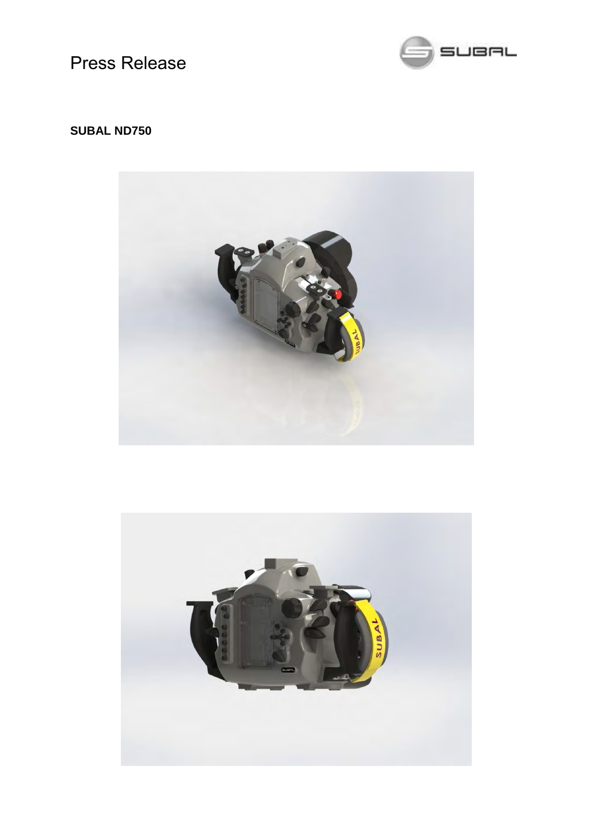

## **SUBAL ND750**



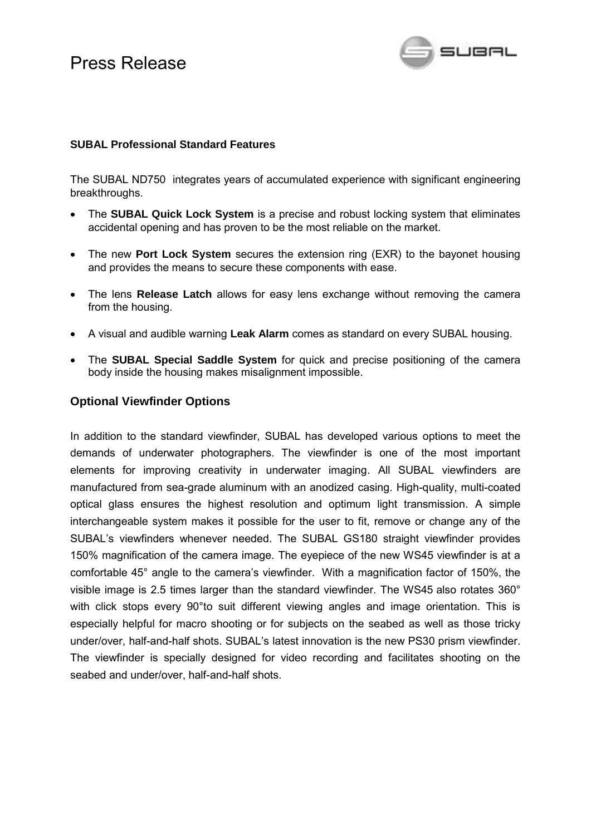

#### **SUBAL Professional Standard Features**

The SUBAL ND750 integrates years of accumulated experience with significant engineering breakthroughs.

- The **SUBAL Quick Lock System** is a precise and robust locking system that eliminates accidental opening and has proven to be the most reliable on the market.
- The new **Port Lock System** secures the extension ring (EXR) to the bayonet housing and provides the means to secure these components with ease.
- The lens **Release Latch** allows for easy lens exchange without removing the camera from the housing.
- A visual and audible warning **Leak Alarm** comes as standard on every SUBAL housing.
- The **SUBAL Special Saddle System** for quick and precise positioning of the camera body inside the housing makes misalignment impossible.

### **Optional Viewfinder Options**

In addition to the standard viewfinder, SUBAL has developed various options to meet the demands of underwater photographers. The viewfinder is one of the most important elements for improving creativity in underwater imaging. All SUBAL viewfinders are manufactured from sea-grade aluminum with an anodized casing. High-quality, multi-coated optical glass ensures the highest resolution and optimum light transmission. A simple interchangeable system makes it possible for the user to fit, remove or change any of the SUBAL's viewfinders whenever needed. The SUBAL GS180 straight viewfinder provides 150% magnification of the camera image. The eyepiece of the new WS45 viewfinder is at a comfortable 45° angle to the camera's viewfinder. With a magnification factor of 150%, the visible image is 2.5 times larger than the standard viewfinder. The WS45 also rotates 360° with click stops every 90<sup>o</sup>to suit different viewing angles and image orientation. This is especially helpful for macro shooting or for subjects on the seabed as well as those tricky under/over, half-and-half shots. SUBAL's latest innovation is the new PS30 prism viewfinder. The viewfinder is specially designed for video recording and facilitates shooting on the seabed and under/over, half-and-half shots.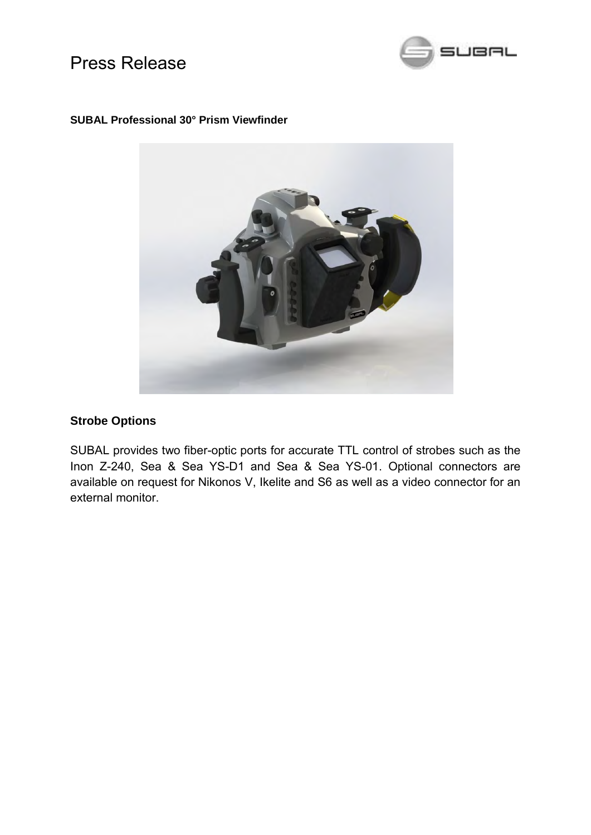

#### **SUBAL Professional 30° Prism Viewfinder**



### **Strobe Options**

SUBAL provides two fiber-optic ports for accurate TTL control of strobes such as the Inon Z-240, Sea & Sea YS-D1 and Sea & Sea YS-01. Optional connectors are available on request for Nikonos V, Ikelite and S6 as well as a video connector for an external monitor.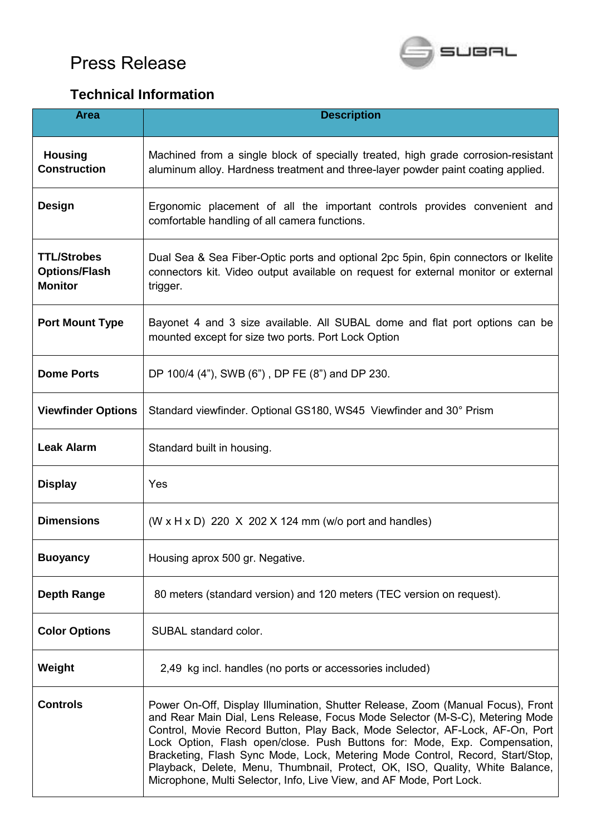

# **Technical Information**

| <b>Area</b>                                                  | <b>Description</b>                                                                                                                                                                                                                                                                                                                                                                                                                                                                                                                                                    |
|--------------------------------------------------------------|-----------------------------------------------------------------------------------------------------------------------------------------------------------------------------------------------------------------------------------------------------------------------------------------------------------------------------------------------------------------------------------------------------------------------------------------------------------------------------------------------------------------------------------------------------------------------|
| <b>Housing</b><br><b>Construction</b>                        | Machined from a single block of specially treated, high grade corrosion-resistant<br>aluminum alloy. Hardness treatment and three-layer powder paint coating applied.                                                                                                                                                                                                                                                                                                                                                                                                 |
| <b>Design</b>                                                | Ergonomic placement of all the important controls provides convenient and<br>comfortable handling of all camera functions.                                                                                                                                                                                                                                                                                                                                                                                                                                            |
| <b>TTL/Strobes</b><br><b>Options/Flash</b><br><b>Monitor</b> | Dual Sea & Sea Fiber-Optic ports and optional 2pc 5pin, 6pin connectors or Ikelite<br>connectors kit. Video output available on request for external monitor or external<br>trigger.                                                                                                                                                                                                                                                                                                                                                                                  |
| <b>Port Mount Type</b>                                       | Bayonet 4 and 3 size available. All SUBAL dome and flat port options can be<br>mounted except for size two ports. Port Lock Option                                                                                                                                                                                                                                                                                                                                                                                                                                    |
| <b>Dome Ports</b>                                            | DP 100/4 (4"), SWB (6"), DP FE (8") and DP 230.                                                                                                                                                                                                                                                                                                                                                                                                                                                                                                                       |
| <b>Viewfinder Options</b>                                    | Standard viewfinder. Optional GS180, WS45 Viewfinder and 30° Prism                                                                                                                                                                                                                                                                                                                                                                                                                                                                                                    |
| <b>Leak Alarm</b>                                            | Standard built in housing.                                                                                                                                                                                                                                                                                                                                                                                                                                                                                                                                            |
| <b>Display</b>                                               | Yes                                                                                                                                                                                                                                                                                                                                                                                                                                                                                                                                                                   |
| <b>Dimensions</b>                                            | $(W \times H \times D)$ 220 X 202 X 124 mm (w/o port and handles)                                                                                                                                                                                                                                                                                                                                                                                                                                                                                                     |
| <b>Buoyancy</b>                                              | Housing aprox 500 gr. Negative.                                                                                                                                                                                                                                                                                                                                                                                                                                                                                                                                       |
| <b>Depth Range</b>                                           | 80 meters (standard version) and 120 meters (TEC version on request).                                                                                                                                                                                                                                                                                                                                                                                                                                                                                                 |
| <b>Color Options</b>                                         | SUBAL standard color.                                                                                                                                                                                                                                                                                                                                                                                                                                                                                                                                                 |
| Weight                                                       | 2,49 kg incl. handles (no ports or accessories included)                                                                                                                                                                                                                                                                                                                                                                                                                                                                                                              |
| <b>Controls</b>                                              | Power On-Off, Display Illumination, Shutter Release, Zoom (Manual Focus), Front<br>and Rear Main Dial, Lens Release, Focus Mode Selector (M-S-C), Metering Mode<br>Control, Movie Record Button, Play Back, Mode Selector, AF-Lock, AF-On, Port<br>Lock Option, Flash open/close. Push Buttons for: Mode, Exp. Compensation,<br>Bracketing, Flash Sync Mode, Lock, Metering Mode Control, Record, Start/Stop,<br>Playback, Delete, Menu, Thumbnail, Protect, OK, ISO, Quality, White Balance,<br>Microphone, Multi Selector, Info, Live View, and AF Mode, Port Lock. |